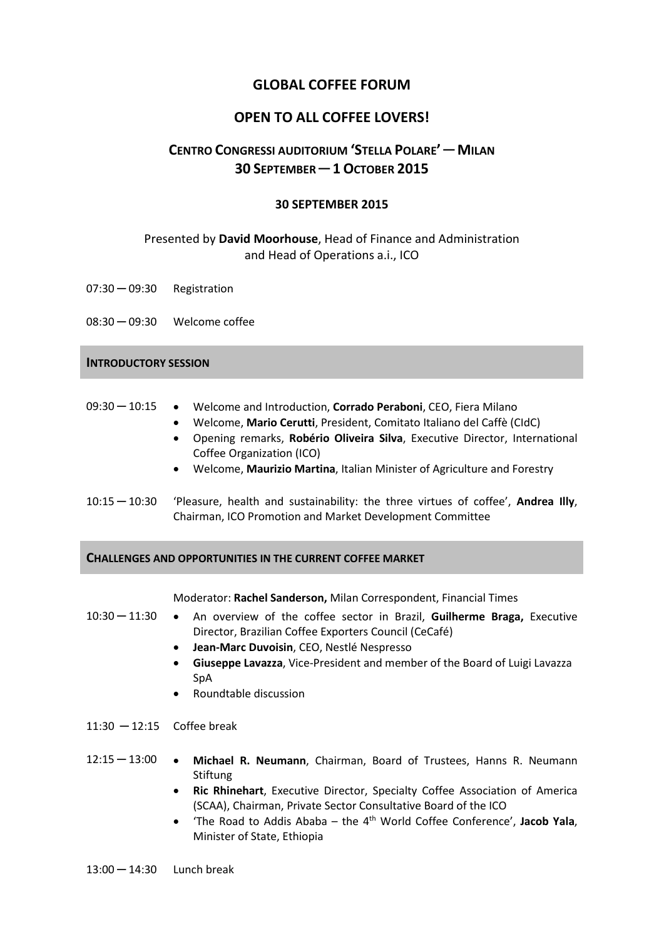## **GLOBAL COFFEE FORUM**

# **OPEN TO ALL COFFEE LOVERS!**

# **CENTRO CONGRESSI AUDITORIUM 'STELLA POLARE' ─ MILAN 30 SEPTEMBER ─ 1OCTOBER 2015**

## **30 SEPTEMBER 2015**

## Presented by **David Moorhouse**, Head of Finance and Administration and Head of Operations a.i., ICO

07:30 ─ 09:30 Registration

08:30 ─ 09:30 Welcome coffee

#### **INTRODUCTORY SESSION**

- 09:30 ─ 10:15 Welcome and Introduction, **Corrado Peraboni**, CEO, Fiera Milano
	- Welcome, **Mario Cerutti**, President, Comitato Italiano del Caffè (CIdC)
	- Opening remarks, **Robério Oliveira Silva**, Executive Director, International Coffee Organization (ICO)
	- Welcome, **Maurizio Martina**, Italian Minister of Agriculture and Forestry
- 10:15 ─ 10:30 'Pleasure, health and sustainability: the three virtues of coffee', **Andrea Illy**, Chairman, ICO Promotion and Market Development Committee

#### **CHALLENGES AND OPPORTUNITIES IN THE CURRENT COFFEE MARKET**

#### Moderator: **Rachel Sanderson,** Milan Correspondent, Financial Times

- 10:30 ─ 11:30 An overview of the coffee sector in Brazil, **Guilherme Braga,** Executive Director, Brazilian Coffee Exporters Council (CeCafé)
	- **Jean-Marc Duvoisin**, CEO, Nestlé Nespresso
	- **Giuseppe Lavazza**, Vice-President and member of the Board of Luigi Lavazza SpA
	- Roundtable discussion
- 11:30 ─ 12:15 Coffee break
- 12:15 ─ 13:00 **Michael R. Neumann**, Chairman, Board of Trustees, Hanns R. Neumann Stiftung
	- **Ric Rhinehart**, Executive Director, Specialty Coffee Association of America (SCAA), Chairman, Private Sector Consultative Board of the ICO
	- 'The Road to Addis Ababa the 4th World Coffee Conference', **Jacob Yala**, Minister of State, Ethiopia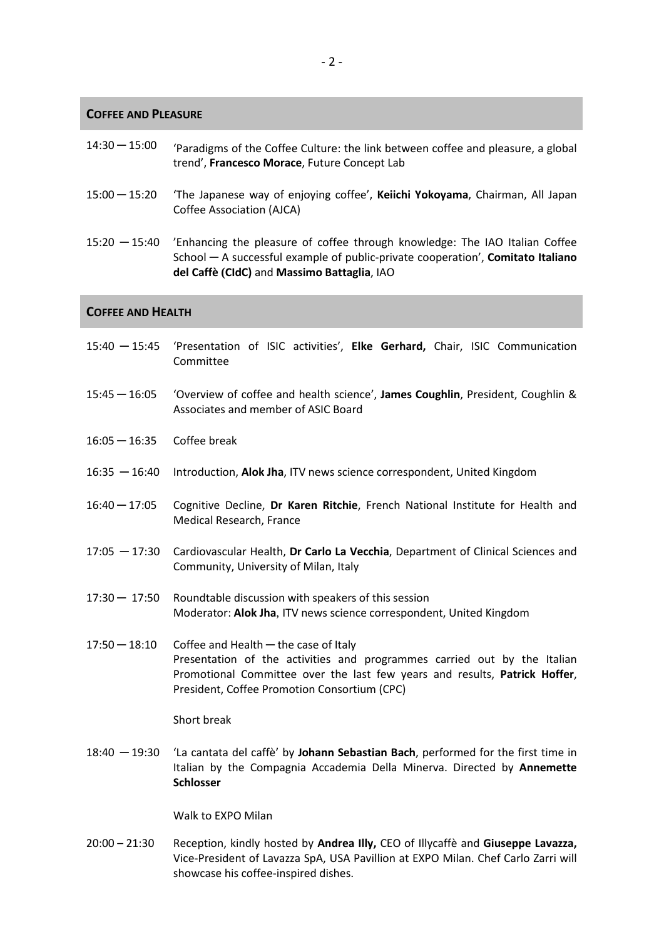#### **COFFEE AND PLEASURE**

| $14:30 - 15:00$ | 'Paradigms of the Coffee Culture: the link between coffee and pleasure, a global |
|-----------------|----------------------------------------------------------------------------------|
|                 | trend', Francesco Morace, Future Concept Lab                                     |

- 15:00 ─ 15:20 'The Japanese way of enjoying coffee', **Keiichi Yokoyama**, Chairman, All Japan Coffee Association (AJCA)
- 15:20 ─ 15:40 'Enhancing the pleasure of coffee through knowledge: The IAO Italian Coffee School ─ A successful example of public-private cooperation', **Comitato Italiano del Caffè (CIdC)** and **Massimo Battaglia**, IAO

### **COFFEE AND HEALTH**

- 15:40 ─ 15:45 'Presentation of ISIC activities', **Elke Gerhard,** Chair, ISIC Communication Committee
- 15:45 ─ 16:05 'Overview of coffee and health science', **James Coughlin**, President, Coughlin & Associates and member of ASIC Board
- 16:05 ─ 16:35 Coffee break
- 16:35 ─ 16:40 Introduction, **Alok Jha**, ITV news science correspondent, United Kingdom
- 16:40 ─ 17:05 Cognitive Decline, **Dr Karen Ritchie**, French National Institute for Health and Medical Research, France
- 17:05 ─ 17:30 Cardiovascular Health, **Dr Carlo La Vecchia**, Department of Clinical Sciences and Community, University of Milan, Italy
- 17:30 ─ 17:50 Roundtable discussion with speakers of this session Moderator: **Alok Jha**, ITV news science correspondent, United Kingdom
- 17:50  $-$  18:10 Coffee and Health  $-$  the case of Italy Presentation of the activities and programmes carried out by the Italian Promotional Committee over the last few years and results, **Patrick Hoffer**, President, Coffee Promotion Consortium (CPC)

#### Short break

18:40 ─ 19:30 'La cantata del caffè' by **Johann Sebastian Bach**, performed for the first time in Italian by the Compagnia Accademia Della Minerva. Directed by **Annemette Schlosser**

Walk to EXPO Milan

20:00 – 21:30 Reception, kindly hosted by **Andrea Illy,** CEO of Illycaffè and **Giuseppe Lavazza,**  Vice-President of Lavazza SpA, USA Pavillion at EXPO Milan. Chef Carlo Zarri will showcase his coffee-inspired dishes.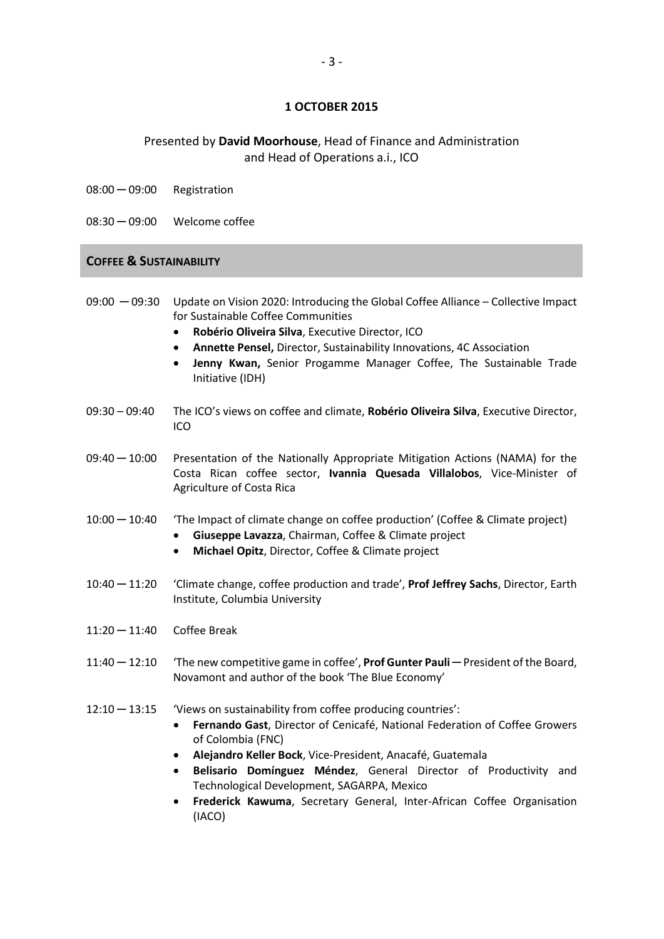## **1 OCTOBER 2015**

## Presented by **David Moorhouse**, Head of Finance and Administration and Head of Operations a.i., ICO

- 08:00 ─ 09:00 Registration
- 08:30 ─ 09:00 Welcome coffee

#### **COFFEE & SUSTAINABILITY**

- 09:00  $-$  09:30 Update on Vision 2020: Introducing the Global Coffee Alliance Collective Impact for Sustainable Coffee Communities
	- **Robério Oliveira Silva**, Executive Director, ICO
	- **Annette Pensel,** Director, Sustainability Innovations, 4C Association
	- **Jenny Kwan,** Senior Progamme Manager Coffee, The Sustainable Trade Initiative (IDH)
- 09:30 09:40 The ICO's views on coffee and climate, **Robério Oliveira Silva**, Executive Director, ICO
- 09:40 ─ 10:00 Presentation of the Nationally Appropriate Mitigation Actions (NAMA) for the Costa Rican coffee sector, **Ivannia Quesada Villalobos**, Vice-Minister of Agriculture of Costa Rica
- 10:00 ─ 10:40 'The Impact of climate change on coffee production' (Coffee & Climate project)
	- **Giuseppe Lavazza**, Chairman, Coffee & Climate project
	- **Michael Opitz**, Director, Coffee & Climate project
- 10:40 ─ 11:20 'Climate change, coffee production and trade', **Prof Jeffrey Sachs**, Director, Earth Institute, Columbia University
- 11:20 ─ 11:40 Coffee Break
- 11:40 ─ 12:10 'The new competitive game in coffee', **Prof Gunter Pauli** ─ President of the Board, Novamont and author of the book 'The Blue Economy'

#### 12:10 ─ 13:15 'Views on sustainability from coffee producing countries':

- **Fernando Gast**, Director of Cenicafé, National Federation of Coffee Growers of Colombia (FNC)
- **Alejandro Keller Bock**, Vice-President, Anacafé, Guatemala
- **Belisario Domínguez Méndez**, General Director of Productivity and Technological Development, SAGARPA, Mexico
- **Frederick Kawuma**, Secretary General, Inter-African Coffee Organisation (IACO)